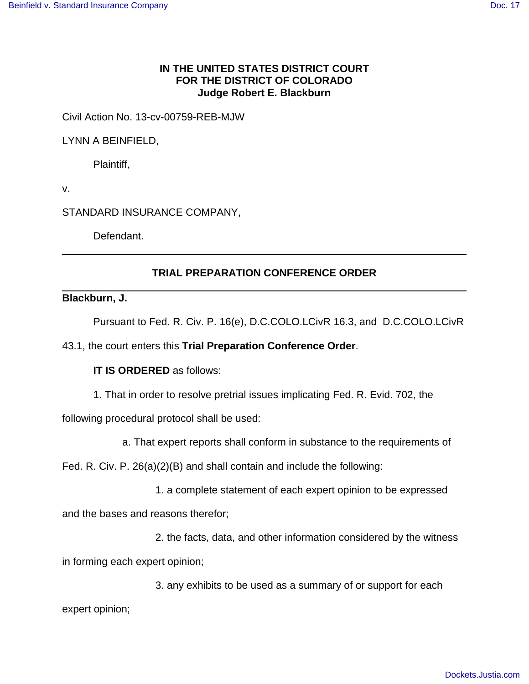# **IN THE UNITED STATES DISTRICT COURT FOR THE DISTRICT OF COLORADO Judge Robert E. Blackburn**

Civil Action No. 13-cv-00759-REB-MJW

LYNN A BEINFIELD,

Plaintiff,

v.

STANDARD INSURANCE COMPANY,

Defendant.

# **TRIAL PREPARATION CONFERENCE ORDER**

### **Blackburn, J.**

Pursuant to Fed. R. Civ. P. 16(e), D.C.COLO.LCivR 16.3, and D.C.COLO.LCivR

43.1, the court enters this **Trial Preparation Conference Order**.

## **IT IS ORDERED** as follows:

1. That in order to resolve pretrial issues implicating Fed. R. Evid. 702, the

following procedural protocol shall be used:

a. That expert reports shall conform in substance to the requirements of

Fed. R. Civ. P. 26(a)(2)(B) and shall contain and include the following:

1. a complete statement of each expert opinion to be expressed

and the bases and reasons therefor;

2. the facts, data, and other information considered by the witness

in forming each expert opinion;

3. any exhibits to be used as a summary of or support for each

expert opinion;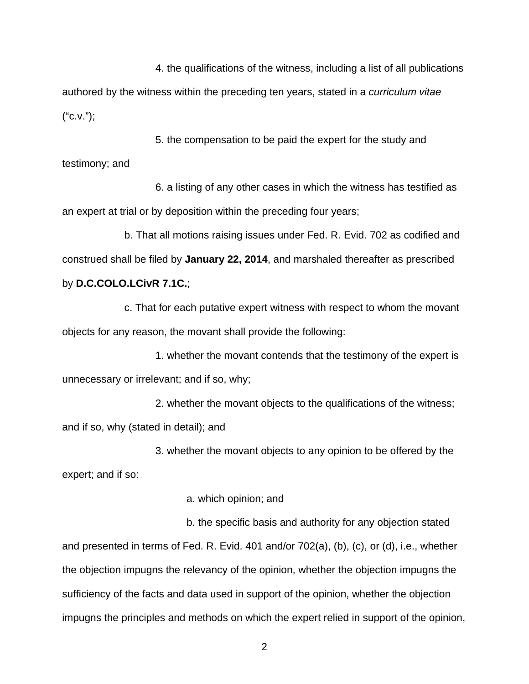4. the qualifications of the witness, including a list of all publications authored by the witness within the preceding ten years, stated in a curriculum vitae  $("C.V.");$ 

5. the compensation to be paid the expert for the study and testimony; and

6. a listing of any other cases in which the witness has testified as an expert at trial or by deposition within the preceding four years;

b. That all motions raising issues under Fed. R. Evid. 702 as codified and construed shall be filed by **January 22, 2014**, and marshaled thereafter as prescribed by **D.C.COLO.LCivR 7.1C.**;

c. That for each putative expert witness with respect to whom the movant objects for any reason, the movant shall provide the following:

1. whether the movant contends that the testimony of the expert is unnecessary or irrelevant; and if so, why;

2. whether the movant objects to the qualifications of the witness; and if so, why (stated in detail); and

3. whether the movant objects to any opinion to be offered by the expert; and if so:

a. which opinion; and

b. the specific basis and authority for any objection stated and presented in terms of Fed. R. Evid. 401 and/or 702(a), (b), (c), or (d), i.e., whether the objection impugns the relevancy of the opinion, whether the objection impugns the sufficiency of the facts and data used in support of the opinion, whether the objection impugns the principles and methods on which the expert relied in support of the opinion,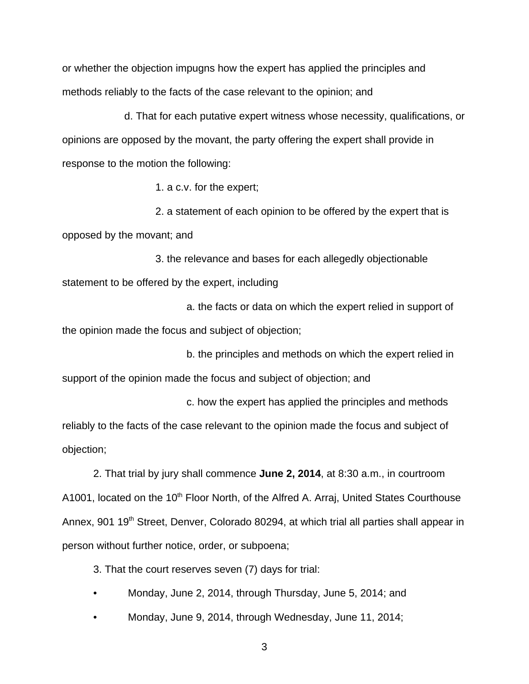or whether the objection impugns how the expert has applied the principles and methods reliably to the facts of the case relevant to the opinion; and

d. That for each putative expert witness whose necessity, qualifications, or opinions are opposed by the movant, the party offering the expert shall provide in response to the motion the following:

1. a c.v. for the expert;

2. a statement of each opinion to be offered by the expert that is opposed by the movant; and

3. the relevance and bases for each allegedly objectionable statement to be offered by the expert, including

a. the facts or data on which the expert relied in support of the opinion made the focus and subject of objection;

b. the principles and methods on which the expert relied in support of the opinion made the focus and subject of objection; and

c. how the expert has applied the principles and methods reliably to the facts of the case relevant to the opinion made the focus and subject of objection;

2. That trial by jury shall commence **June 2, 2014**, at 8:30 a.m., in courtroom A1001, located on the 10<sup>th</sup> Floor North, of the Alfred A. Arraj, United States Courthouse Annex, 901 19<sup>th</sup> Street, Denver, Colorado 80294, at which trial all parties shall appear in person without further notice, order, or subpoena;

3. That the court reserves seven (7) days for trial:

- Monday, June 2, 2014, through Thursday, June 5, 2014; and
- Monday, June 9, 2014, through Wednesday, June 11, 2014;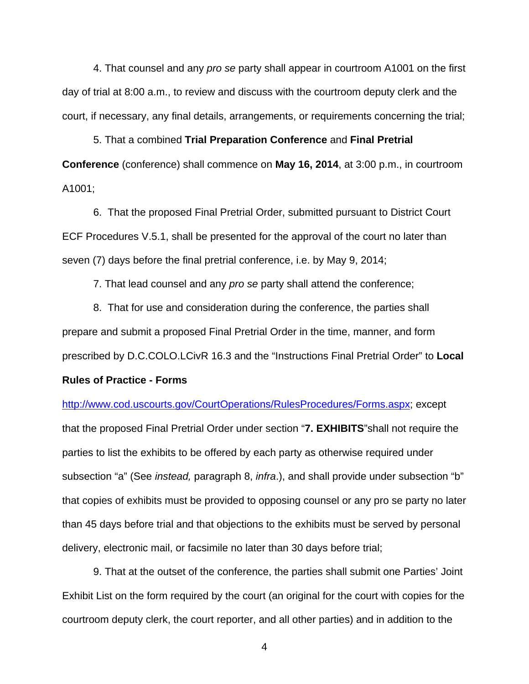4. That counsel and any pro se party shall appear in courtroom A1001 on the first day of trial at 8:00 a.m., to review and discuss with the courtroom deputy clerk and the court, if necessary, any final details, arrangements, or requirements concerning the trial;

5. That a combined **Trial Preparation Conference** and **Final Pretrial Conference** (conference) shall commence on **May 16, 2014**, at 3:00 p.m., in courtroom A1001;

6. That the proposed Final Pretrial Order, submitted pursuant to District Court ECF Procedures V.5.1, shall be presented for the approval of the court no later than seven (7) days before the final pretrial conference, i.e. by May 9, 2014;

7. That lead counsel and any pro se party shall attend the conference;

8. That for use and consideration during the conference, the parties shall prepare and submit a proposed Final Pretrial Order in the time, manner, and form prescribed by D.C.COLO.LCivR 16.3 and the "Instructions Final Pretrial Order" to **Local**

#### **Rules of Practice - Forms**

http://www.cod.uscourts.gov/CourtOperations/RulesProcedures/Forms.aspx; except

that the proposed Final Pretrial Order under section "**7. EXHIBITS**"shall not require the parties to list the exhibits to be offered by each party as otherwise required under subsection "a" (See instead, paragraph 8, infra.), and shall provide under subsection "b" that copies of exhibits must be provided to opposing counsel or any pro se party no later than 45 days before trial and that objections to the exhibits must be served by personal delivery, electronic mail, or facsimile no later than 30 days before trial;

9. That at the outset of the conference, the parties shall submit one Parties' Joint Exhibit List on the form required by the court (an original for the court with copies for the courtroom deputy clerk, the court reporter, and all other parties) and in addition to the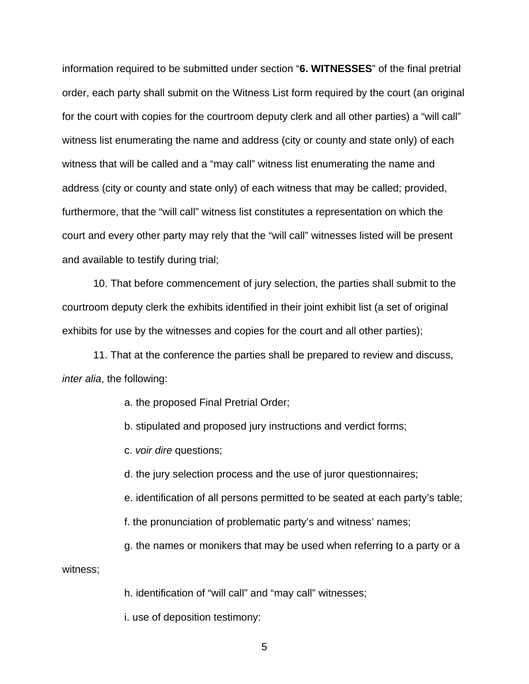information required to be submitted under section "**6. WITNESSES**" of the final pretrial order, each party shall submit on the Witness List form required by the court (an original for the court with copies for the courtroom deputy clerk and all other parties) a "will call" witness list enumerating the name and address (city or county and state only) of each witness that will be called and a "may call" witness list enumerating the name and address (city or county and state only) of each witness that may be called; provided, furthermore, that the "will call" witness list constitutes a representation on which the court and every other party may rely that the "will call" witnesses listed will be present and available to testify during trial;

10. That before commencement of jury selection, the parties shall submit to the courtroom deputy clerk the exhibits identified in their joint exhibit list (a set of original exhibits for use by the witnesses and copies for the court and all other parties);

11. That at the conference the parties shall be prepared to review and discuss, inter alia, the following:

a. the proposed Final Pretrial Order;

b. stipulated and proposed jury instructions and verdict forms;

c. voir dire questions;

d. the jury selection process and the use of juror questionnaires;

e. identification of all persons permitted to be seated at each party's table;

f. the pronunciation of problematic party's and witness' names;

g. the names or monikers that may be used when referring to a party or a

witness;

h. identification of "will call" and "may call" witnesses;

i. use of deposition testimony: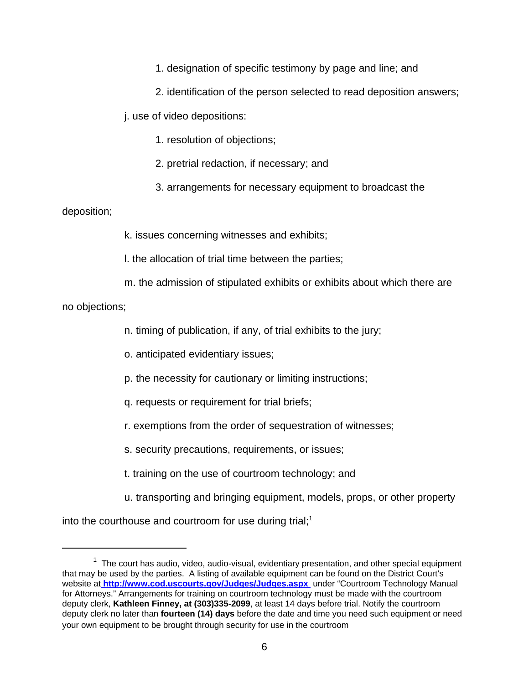1. designation of specific testimony by page and line; and

2. identification of the person selected to read deposition answers;

j. use of video depositions:

1. resolution of objections;

2. pretrial redaction, if necessary; and

3. arrangements for necessary equipment to broadcast the

# deposition;

k. issues concerning witnesses and exhibits;

l. the allocation of trial time between the parties;

m. the admission of stipulated exhibits or exhibits about which there are

no objections;

n. timing of publication, if any, of trial exhibits to the jury;

o. anticipated evidentiary issues;

p. the necessity for cautionary or limiting instructions;

- q. requests or requirement for trial briefs;
- r. exemptions from the order of sequestration of witnesses;
- s. security precautions, requirements, or issues;
- t. training on the use of courtroom technology; and
- u. transporting and bringing equipment, models, props, or other property

into the courthouse and courtroom for use during trial;<sup>1</sup>

 $1$  The court has audio, video, audio-visual, evidentiary presentation, and other special equipment that may be used by the parties. A listing of available equipment can be found on the District Court's website at **http://www.cod.uscourts.gov/Judges/Judges.aspx** under "Courtroom Technology Manual for Attorneys." Arrangements for training on courtroom technology must be made with the courtroom deputy clerk, **Kathleen Finney, at (303)335-2099**, at least 14 days before trial. Notify the courtroom deputy clerk no later than **fourteen (14) days** before the date and time you need such equipment or need your own equipment to be brought through security for use in the courtroom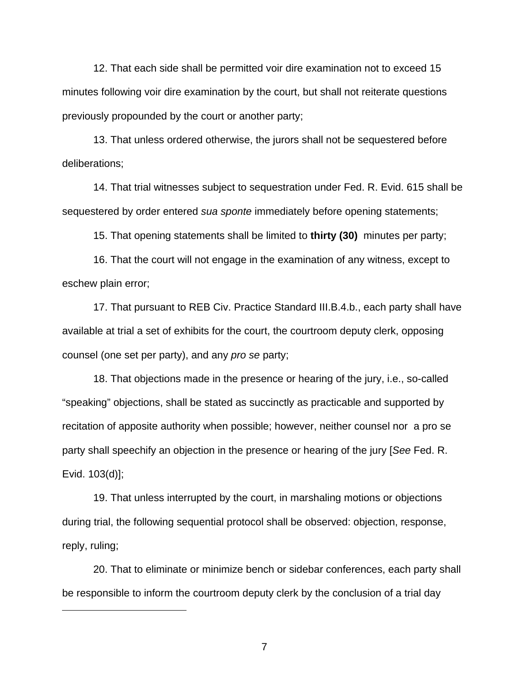12. That each side shall be permitted voir dire examination not to exceed 15 minutes following voir dire examination by the court, but shall not reiterate questions previously propounded by the court or another party;

13. That unless ordered otherwise, the jurors shall not be sequestered before deliberations;

14. That trial witnesses subject to sequestration under Fed. R. Evid. 615 shall be sequestered by order entered sua sponte immediately before opening statements;

15. That opening statements shall be limited to **thirty (30)** minutes per party;

16. That the court will not engage in the examination of any witness, except to eschew plain error;

17. That pursuant to REB Civ. Practice Standard III.B.4.b., each party shall have available at trial a set of exhibits for the court, the courtroom deputy clerk, opposing counsel (one set per party), and any pro se party;

18. That objections made in the presence or hearing of the jury, i.e., so-called "speaking" objections, shall be stated as succinctly as practicable and supported by recitation of apposite authority when possible; however, neither counsel nor a pro se party shall speechify an objection in the presence or hearing of the jury [See Fed. R. Evid. 103(d)];

19. That unless interrupted by the court, in marshaling motions or objections during trial, the following sequential protocol shall be observed: objection, response, reply, ruling;

20. That to eliminate or minimize bench or sidebar conferences, each party shall be responsible to inform the courtroom deputy clerk by the conclusion of a trial day